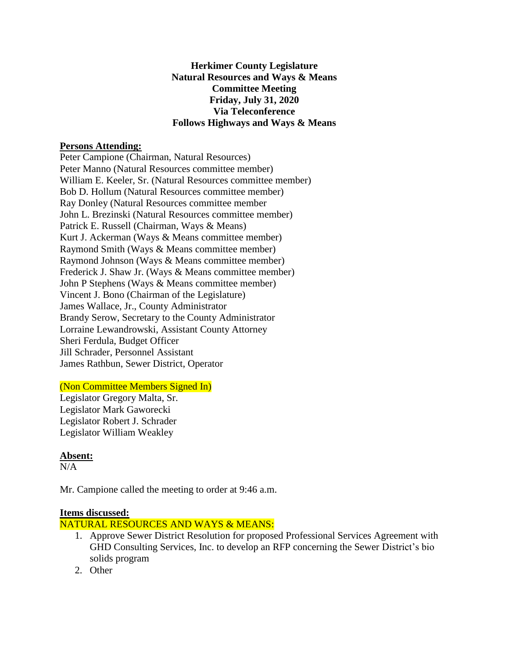## **Herkimer County Legislature Natural Resources and Ways & Means Committee Meeting Friday, July 31, 2020 Via Teleconference Follows Highways and Ways & Means**

## **Persons Attending:**

Peter Campione (Chairman, Natural Resources) Peter Manno (Natural Resources committee member) William E. Keeler, Sr. (Natural Resources committee member) Bob D. Hollum (Natural Resources committee member) Ray Donley (Natural Resources committee member John L. Brezinski (Natural Resources committee member) Patrick E. Russell (Chairman, Ways & Means) Kurt J. Ackerman (Ways & Means committee member) Raymond Smith (Ways & Means committee member) Raymond Johnson (Ways & Means committee member) Frederick J. Shaw Jr. (Ways & Means committee member) John P Stephens (Ways & Means committee member) Vincent J. Bono (Chairman of the Legislature) James Wallace, Jr., County Administrator Brandy Serow, Secretary to the County Administrator Lorraine Lewandrowski, Assistant County Attorney Sheri Ferdula, Budget Officer Jill Schrader, Personnel Assistant James Rathbun, Sewer District, Operator

# (Non Committee Members Signed In)

Legislator Gregory Malta, Sr. Legislator Mark Gaworecki Legislator Robert J. Schrader Legislator William Weakley

# **Absent:**

 $N/A$ 

Mr. Campione called the meeting to order at 9:46 a.m.

#### **Items discussed:**

NATURAL RESOURCES AND WAYS & MEANS:

- 1. Approve Sewer District Resolution for proposed Professional Services Agreement with GHD Consulting Services, Inc. to develop an RFP concerning the Sewer District's bio solids program
- 2. Other